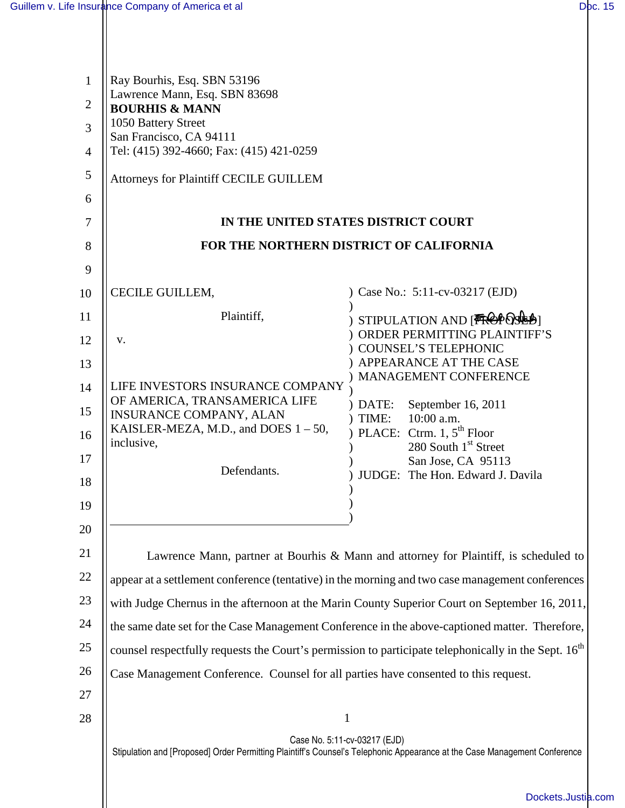| $\mathbf{1}$   | Ray Bourhis, Esq. SBN 53196<br>Lawrence Mann, Esq. SBN 83698                                                                                              |                                                             |  |  |
|----------------|-----------------------------------------------------------------------------------------------------------------------------------------------------------|-------------------------------------------------------------|--|--|
| $\overline{2}$ | <b>BOURHIS &amp; MANN</b><br>1050 Battery Street                                                                                                          |                                                             |  |  |
| $\overline{3}$ | San Francisco, CA 94111                                                                                                                                   |                                                             |  |  |
| $\overline{4}$ | Tel: (415) 392-4660; Fax: (415) 421-0259                                                                                                                  |                                                             |  |  |
| 5              | Attorneys for Plaintiff CECILE GUILLEM                                                                                                                    |                                                             |  |  |
| 6              |                                                                                                                                                           |                                                             |  |  |
| 7              | IN THE UNITED STATES DISTRICT COURT                                                                                                                       |                                                             |  |  |
| 8              | FOR THE NORTHERN DISTRICT OF CALIFORNIA                                                                                                                   |                                                             |  |  |
| 9              |                                                                                                                                                           |                                                             |  |  |
| 10             | CECILE GUILLEM,                                                                                                                                           | Case No.: 5:11-cv-03217 (EJD)                               |  |  |
| 11<br>12       | Plaintiff,<br>V.                                                                                                                                          | STIPULATION AND [TROPOSULA)<br>ORDER PERMITTING PLAINTIFF'S |  |  |
| 13             |                                                                                                                                                           | COUNSEL'S TELEPHONIC<br>APPEARANCE AT THE CASE              |  |  |
| 14             | LIFE INVESTORS INSURANCE COMPANY                                                                                                                          | MANAGEMENT CONFERENCE                                       |  |  |
| 15             | OF AMERICA, TRANSAMERICA LIFE                                                                                                                             | September 16, 2011<br>DATE:                                 |  |  |
| 16             | <b>INSURANCE COMPANY, ALAN</b><br>KAISLER-MEZA, M.D., and DOES $1 - 50$ ,                                                                                 | TIME:<br>10:00 a.m.<br>) PLACE: Ctrm. 1, $5th$ Floor        |  |  |
| 17             | inclusive,                                                                                                                                                | 280 South 1 <sup>st</sup> Street                            |  |  |
| 18             | Defendants.                                                                                                                                               | San Jose, CA 95113<br>JUDGE: The Hon. Edward J. Davila      |  |  |
|                |                                                                                                                                                           |                                                             |  |  |
| 19<br>20       |                                                                                                                                                           |                                                             |  |  |
|                |                                                                                                                                                           |                                                             |  |  |
| 21             | Lawrence Mann, partner at Bourhis & Mann and attorney for Plaintiff, is scheduled to                                                                      |                                                             |  |  |
| 22             | appear at a settlement conference (tentative) in the morning and two case management conferences                                                          |                                                             |  |  |
| 23             | with Judge Chernus in the afternoon at the Marin County Superior Court on September 16, 2011,                                                             |                                                             |  |  |
| 24             | the same date set for the Case Management Conference in the above-captioned matter. Therefore,                                                            |                                                             |  |  |
| 25             | counsel respectfully requests the Court's permission to participate telephonically in the Sept. 16 <sup>th</sup>                                          |                                                             |  |  |
| 26             | Case Management Conference. Counsel for all parties have consented to this request.                                                                       |                                                             |  |  |
| 27             |                                                                                                                                                           |                                                             |  |  |
| 28             | 1                                                                                                                                                         |                                                             |  |  |
|                | Case No. 5:11-cv-03217 (EJD)<br>Stipulation and [Proposed] Order Permitting Plaintiff's Counsel's Telephonic Appearance at the Case Management Conference |                                                             |  |  |
|                |                                                                                                                                                           | Dockets.Justia                                              |  |  |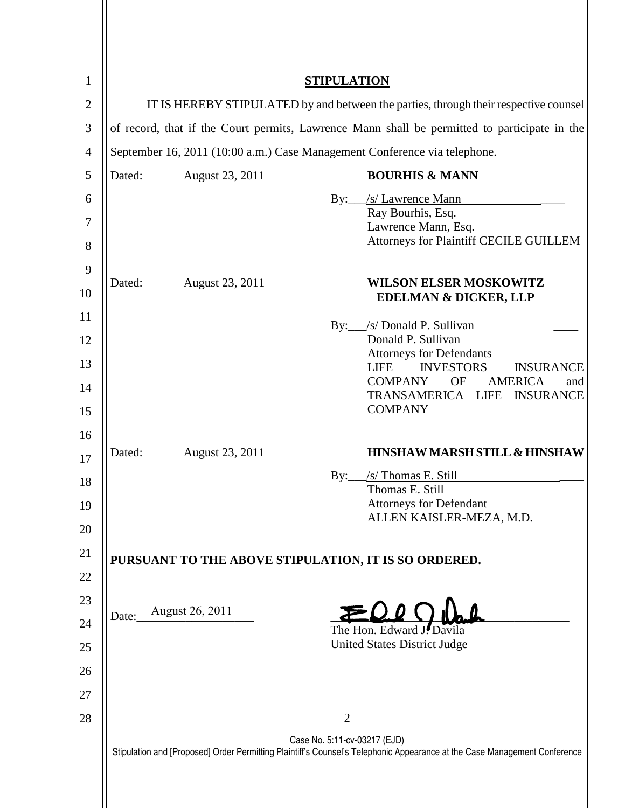| $\mathbf{1}$     | <b>STIPULATION</b>                                                                                                                                        |                                                                                      |                                                                                              |
|------------------|-----------------------------------------------------------------------------------------------------------------------------------------------------------|--------------------------------------------------------------------------------------|----------------------------------------------------------------------------------------------|
| $\overline{2}$   |                                                                                                                                                           | IT IS HEREBY STIPULATED by and between the parties, through their respective counsel |                                                                                              |
| 3                |                                                                                                                                                           |                                                                                      | of record, that if the Court permits, Lawrence Mann shall be permitted to participate in the |
| $\overline{4}$   |                                                                                                                                                           | September 16, 2011 (10:00 a.m.) Case Management Conference via telephone.            |                                                                                              |
| 5                | Dated:                                                                                                                                                    | August 23, 2011                                                                      | <b>BOURHIS &amp; MANN</b>                                                                    |
| 6                |                                                                                                                                                           |                                                                                      | /s/ Lawrence Mann<br>By:                                                                     |
| $\boldsymbol{7}$ |                                                                                                                                                           |                                                                                      | Ray Bourhis, Esq.<br>Lawrence Mann, Esq.                                                     |
| 8                |                                                                                                                                                           |                                                                                      | Attorneys for Plaintiff CECILE GUILLEM                                                       |
| 9                | Dated:                                                                                                                                                    | August 23, 2011                                                                      | <b>WILSON ELSER MOSKOWITZ</b>                                                                |
| 10               |                                                                                                                                                           |                                                                                      | <b>EDELMAN &amp; DICKER, LLP</b>                                                             |
| 11               |                                                                                                                                                           |                                                                                      | /s/ Donald P. Sullivan<br>$\rm\,By:$                                                         |
| 12               |                                                                                                                                                           |                                                                                      | Donald P. Sullivan<br><b>Attorneys for Defendants</b>                                        |
| 13               |                                                                                                                                                           |                                                                                      | <b>INVESTORS</b><br><b>LIFE</b><br><b>INSURANCE</b>                                          |
| 14               |                                                                                                                                                           |                                                                                      | <b>COMPANY</b><br><b>OF</b><br><b>AMERICA</b><br>and<br>TRANSAMERICA LIFE INSURANCE          |
| 15               |                                                                                                                                                           |                                                                                      | <b>COMPANY</b>                                                                               |
| 16               |                                                                                                                                                           |                                                                                      |                                                                                              |
| 17               | Dated:                                                                                                                                                    | August 23, 2011                                                                      | <b>HINSHAW MARSH STILL &amp; HINSHAW</b>                                                     |
| 18               |                                                                                                                                                           |                                                                                      | /s/ Thomas E. Still<br>By:<br>Thomas E. Still                                                |
| 19               |                                                                                                                                                           |                                                                                      | <b>Attorneys for Defendant</b><br>ALLEN KAISLER-MEZA, M.D.                                   |
| 20               |                                                                                                                                                           |                                                                                      |                                                                                              |
| 21               |                                                                                                                                                           |                                                                                      | PURSUANT TO THE ABOVE STIPULATION, IT IS SO ORDERED.                                         |
| 22               |                                                                                                                                                           |                                                                                      |                                                                                              |
| 23               | Date:                                                                                                                                                     | August 26, 2011                                                                      |                                                                                              |
| 24               |                                                                                                                                                           |                                                                                      | The Hon. Edward J. Davila                                                                    |
| 25               |                                                                                                                                                           |                                                                                      | <b>United States District Judge</b>                                                          |
| 26               |                                                                                                                                                           |                                                                                      |                                                                                              |
| 27               |                                                                                                                                                           |                                                                                      |                                                                                              |
| 28               |                                                                                                                                                           |                                                                                      | $\overline{2}$                                                                               |
|                  | Case No. 5:11-cv-03217 (EJD)<br>Stipulation and [Proposed] Order Permitting Plaintiff's Counsel's Telephonic Appearance at the Case Management Conference |                                                                                      |                                                                                              |
|                  |                                                                                                                                                           |                                                                                      |                                                                                              |
|                  |                                                                                                                                                           |                                                                                      |                                                                                              |